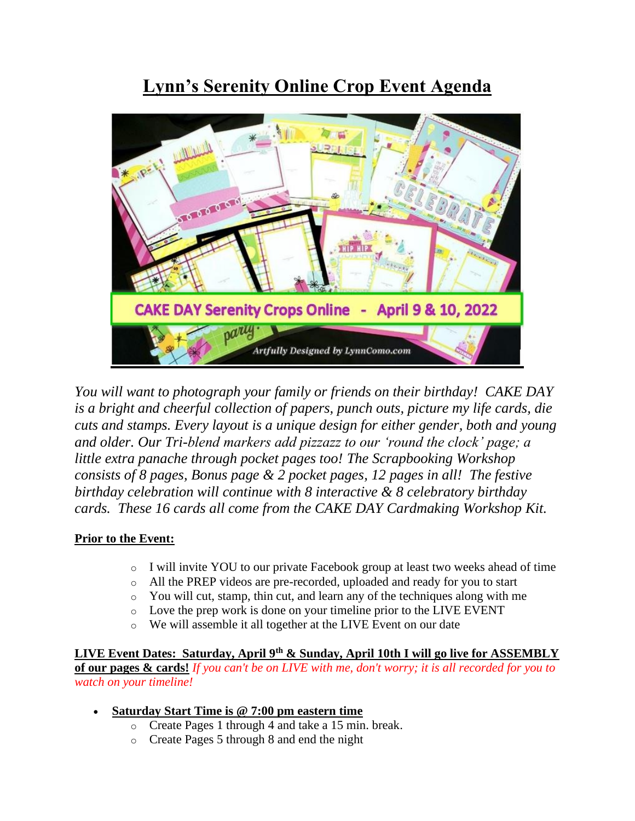## **Lynn's Serenity Online Crop Event Agenda**



*You will want to photograph your family or friends on their birthday! CAKE DAY is a bright and cheerful collection of papers, punch outs, picture my life cards, die cuts and stamps. Every layout is a unique design for either gender, both and young and older. Our Tri-blend markers add pizzazz to our 'round the clock' page; a little extra panache through pocket pages too! The Scrapbooking Workshop consists of 8 pages, Bonus page & 2 pocket pages, 12 pages in all! The festive birthday celebration will continue with 8 interactive & 8 celebratory birthday cards. These 16 cards all come from the CAKE DAY Cardmaking Workshop Kit.*

## **Prior to the Event:**

- o I will invite YOU to our private Facebook group at least two weeks ahead of time
- o All the PREP videos are pre-recorded, uploaded and ready for you to start
- o You will cut, stamp, thin cut, and learn any of the techniques along with me
- o Love the prep work is done on your timeline prior to the LIVE EVENT
- o We will assemble it all together at the LIVE Event on our date

**LIVE Event Dates: Saturday, April 9th & Sunday, April 10th I will go live for ASSEMBLY of our pages & cards!** *If you can't be on LIVE with me, don't worry; it is all recorded for you to watch on your timeline!*

## • **Saturday Start Time is @ 7:00 pm eastern time**

- o Create Pages 1 through 4 and take a 15 min. break.
- o Create Pages 5 through 8 and end the night